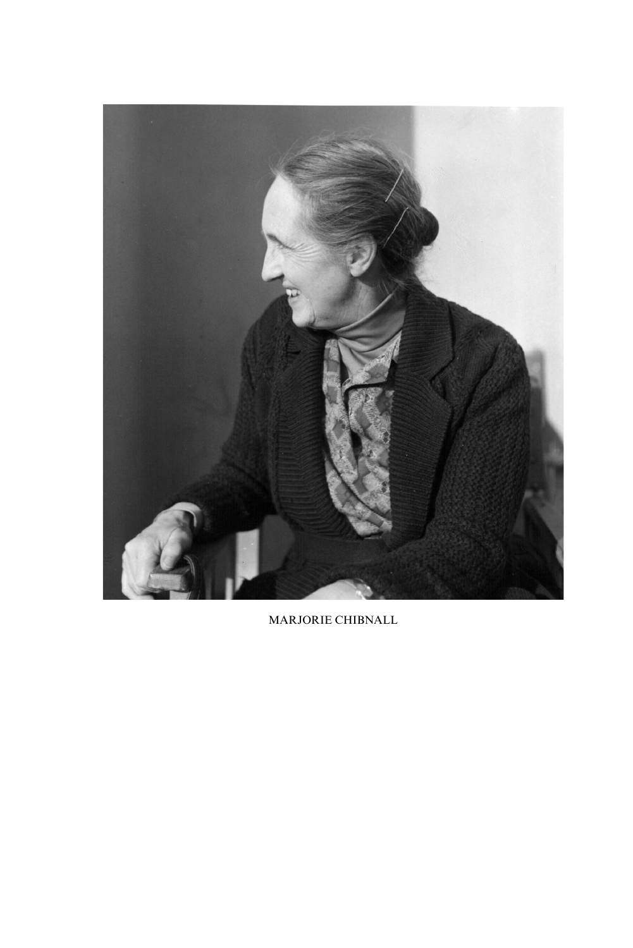

MARJORIE CHIBNALL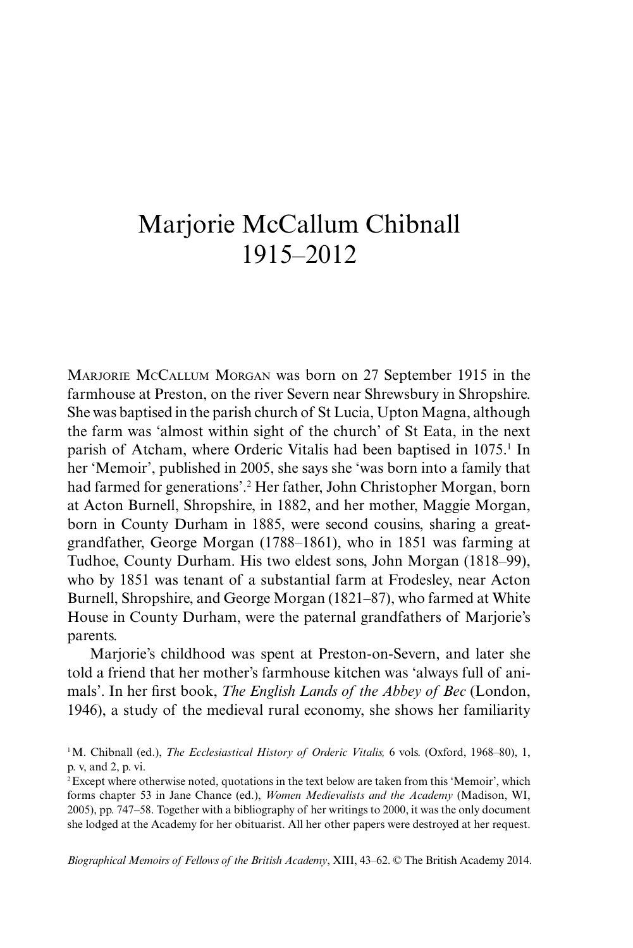## Marjorie McCallum Chibnall 1915–2012

Marjorie McCallum Morgan was born on 27 September 1915 in the farmhouse at Preston, on the river Severn near Shrewsbury in Shropshire. She was baptised in the parish church of St Lucia, Upton Magna, although the farm was 'almost within sight of the church' of St Eata, in the next parish of Atcham, where Orderic Vitalis had been baptised in 1075.<sup>1</sup> In her 'Memoir', published in 2005, she says she 'was born into a family that had farmed for generations'.2 Her father, John Christopher Morgan, born at Acton Burnell, Shropshire, in 1882, and her mother, Maggie Morgan, born in County Durham in 1885, were second cousins, sharing a greatgrandfather, George Morgan (1788–1861), who in 1851 was farming at Tudhoe, County Durham. His two eldest sons, John Morgan (1818–99), who by 1851 was tenant of a substantial farm at Frodesley, near Acton Burnell, Shropshire, and George Morgan (1821–87), who farmed at White House in County Durham, were the paternal grandfathers of Marjorie's parents.

Marjorie's childhood was spent at Preston-on-Severn, and later she told a friend that her mother's farmhouse kitchen was 'always full of animals'. In her first book, *The English Lands of the Abbey of Bec* (London, 1946), a study of the medieval rural economy, she shows her familiarity

*Biographical Memoirs of Fellows of the British Academy*, XIII, 43–62. © The British Academy 2014.

<sup>1</sup>M. Chibnall (ed.), *The Ecclesiastical History of Orderic Vitalis,* 6 vols. (Oxford, 1968–80), 1, p. v, and 2, p. vi.

<sup>2</sup>Except where otherwise noted, quotations in the text below are taken from this 'Memoir', which forms chapter 53 in Jane Chance (ed.), *Women Medievalists and the Academy* (Madison, WI, 2005), pp. 747–58. Together with a bibliography of her writings to 2000, it was the only document she lodged at the Academy for her obituarist. All her other papers were destroyed at her request.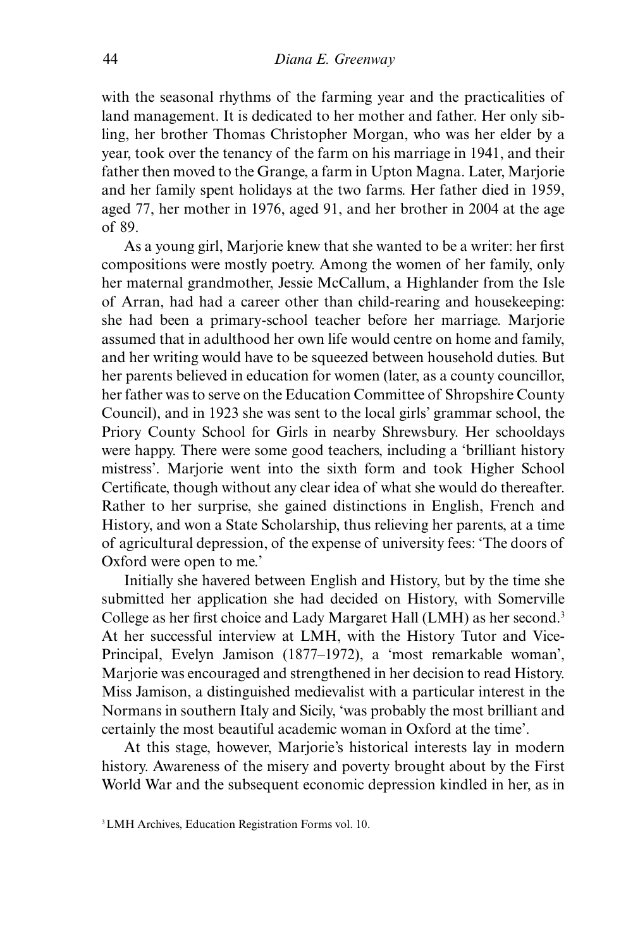with the seasonal rhythms of the farming year and the practicalities of land management. It is dedicated to her mother and father. Her only sibling, her brother Thomas Christopher Morgan, who was her elder by a year, took over the tenancy of the farm on his marriage in 1941, and their father then moved to the Grange, a farm in Upton Magna. Later, Marjorie and her family spent holidays at the two farms. Her father died in 1959, aged 77, her mother in 1976, aged 91, and her brother in 2004 at the age of 89.

As a young girl, Marjorie knew that she wanted to be a writer: her first compositions were mostly poetry. Among the women of her family, only her maternal grandmother, Jessie McCallum, a Highlander from the Isle of Arran, had had a career other than child-rearing and housekeeping: she had been a primary-school teacher before her marriage. Marjorie assumed that in adulthood her own life would centre on home and family, and her writing would have to be squeezed between household duties. But her parents believed in education for women (later, as a county councillor, her father was to serve on the Education Committee of Shropshire County Council), and in 1923 she was sent to the local girls' grammar school, the Priory County School for Girls in nearby Shrewsbury. Her schooldays were happy. There were some good teachers, including a 'brilliant history mistress'. Marjorie went into the sixth form and took Higher School Certificate, though without any clear idea of what she would do thereafter. Rather to her surprise, she gained distinctions in English, French and History, and won a State Scholarship, thus relieving her parents, at a time of agricultural depression, of the expense of university fees: 'The doors of Oxford were open to me.'

Initially she havered between English and History, but by the time she submitted her application she had decided on History, with Somerville College as her first choice and Lady Margaret Hall (LMH) as her second.3 At her successful interview at LMH, with the History Tutor and Vice-Principal, Evelyn Jamison (1877–1972), a 'most remarkable woman', Marjorie was encouraged and strengthened in her decision to read History. Miss Jamison, a distinguished medievalist with a particular interest in the Normans in southern Italy and Sicily, 'was probably the most brilliant and certainly the most beautiful academic woman in Oxford at the time'.

At this stage, however, Marjorie's historical interests lay in modern history. Awareness of the misery and poverty brought about by the First World War and the subsequent economic depression kindled in her, as in

<sup>3</sup>LMH Archives, Education Registration Forms vol. 10.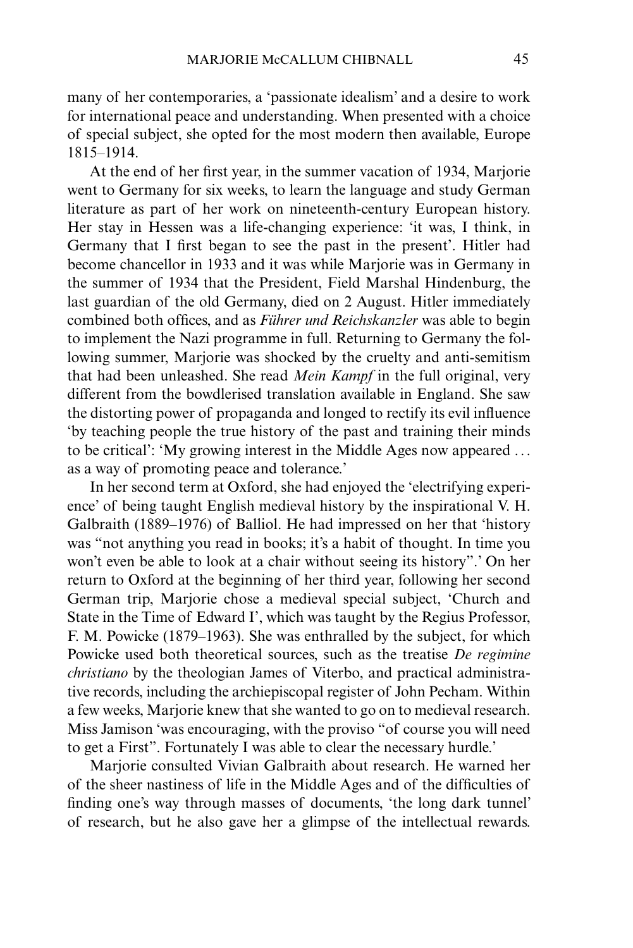many of her contemporaries, a 'passionate idealism' and a desire to work for international peace and understanding. When presented with a choice of special subject, she opted for the most modern then available, Europe 1815–1914.

At the end of her first year, in the summer vacation of 1934, Marjorie went to Germany for six weeks, to learn the language and study German literature as part of her work on nineteenth-century European history. Her stay in Hessen was a life-changing experience: 'it was, I think, in Germany that I first began to see the past in the present'. Hitler had become chancellor in 1933 and it was while Marjorie was in Germany in the summer of 1934 that the President, Field Marshal Hindenburg, the last guardian of the old Germany, died on 2 August. Hitler immediately combined both offices, and as *Führer und Reichskanzler* was able to begin to implement the Nazi programme in full. Returning to Germany the following summer, Marjorie was shocked by the cruelty and anti-semitism that had been unleashed. She read *Mein Kampf* in the full original, very different from the bowdlerised translation available in England. She saw the distorting power of propaganda and longed to rectify its evil influence 'by teaching people the true history of the past and training their minds to be critical': 'My growing interest in the Middle Ages now appeared ... as a way of promoting peace and tolerance.'

In her second term at Oxford, she had enjoyed the 'electrifying experience' of being taught English medieval history by the inspirational V. H. Galbraith (1889–1976) of Balliol. He had impressed on her that 'history was "not anything you read in books; it's a habit of thought. In time you won't even be able to look at a chair without seeing its history".' On her return to Oxford at the beginning of her third year, following her second German trip, Marjorie chose a medieval special subject, 'Church and State in the Time of Edward I', which was taught by the Regius Professor, F. M. Powicke (1879–1963). She was enthralled by the subject, for which Powicke used both theoretical sources, such as the treatise *De regimine christiano* by the theologian James of Viterbo, and practical administrative records, including the archiepiscopal register of John Pecham. Within a few weeks, Marjorie knew that she wanted to go on to medieval research. Miss Jamison 'was encouraging, with the proviso "of course you will need to get a First". Fortunately I was able to clear the necessary hurdle.'

Marjorie consulted Vivian Galbraith about research. He warned her of the sheer nastiness of life in the Middle Ages and of the difficulties of finding one's way through masses of documents, 'the long dark tunnel' of research, but he also gave her a glimpse of the intellectual rewards.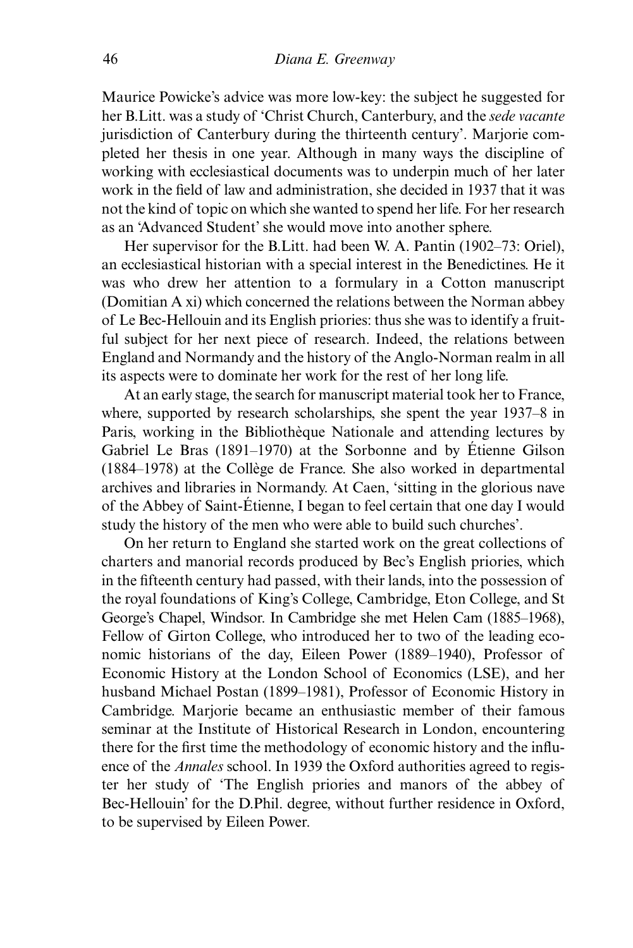Maurice Powicke's advice was more low-key: the subject he suggested for her B.Litt. was a study of 'Christ Church, Canterbury, and the *sede vacante* jurisdiction of Canterbury during the thirteenth century'. Marjorie completed her thesis in one year. Although in many ways the discipline of working with ecclesiastical documents was to underpin much of her later work in the field of law and administration, she decided in 1937 that it was not the kind of topic on which she wanted to spend her life. For her research as an 'Advanced Student' she would move into another sphere.

Her supervisor for the B.Litt. had been W. A. Pantin (1902–73: Oriel), an ecclesiastical historian with a special interest in the Benedictines. He it was who drew her attention to a formulary in a Cotton manuscript (Domitian A xi) which concerned the relations between the Norman abbey of Le Bec-Hellouin and its English priories: thus she was to identify a fruitful subject for her next piece of research. Indeed, the relations between England and Normandy and the history of the Anglo-Norman realm in all its aspects were to dominate her work for the rest of her long life.

At an early stage, the search for manuscript material took her to France, where, supported by research scholarships, she spent the year 1937–8 in Paris, working in the Bibliothèque Nationale and attending lectures by Gabriel Le Bras (1891–1970) at the Sorbonne and by Étienne Gilson (1884–1978) at the Collège de France. She also worked in departmental archives and libraries in Normandy. At Caen, 'sitting in the glorious nave of the Abbey of Saint-Étienne, I began to feel certain that one day I would study the history of the men who were able to build such churches'.

On her return to England she started work on the great collections of charters and manorial records produced by Bec's English priories, which in the fifteenth century had passed, with their lands, into the possession of the royal foundations of King's College, Cambridge, Eton College, and St George's Chapel, Windsor. In Cambridge she met Helen Cam (1885–1968), Fellow of Girton College, who introduced her to two of the leading economic historians of the day, Eileen Power (1889–1940), Professor of Economic History at the London School of Economics (LSE), and her husband Michael Postan (1899–1981), Professor of Economic History in Cambridge. Marjorie became an enthusiastic member of their famous seminar at the Institute of Historical Research in London, encountering there for the first time the methodology of economic history and the influence of the *Annales* school. In 1939 the Oxford authorities agreed to register her study of 'The English priories and manors of the abbey of Bec-Hellouin' for the D.Phil. degree, without further residence in Oxford, to be supervised by Eileen Power.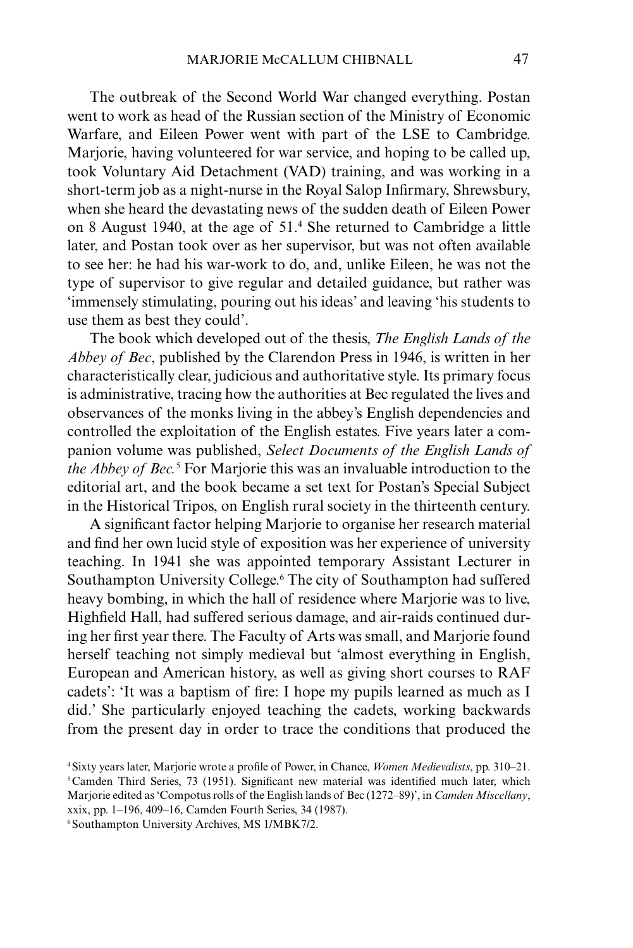The outbreak of the Second World War changed everything. Postan went to work as head of the Russian section of the Ministry of Economic Warfare, and Eileen Power went with part of the LSE to Cambridge. Mariorie, having volunteered for war service, and hoping to be called up. took Voluntary Aid Detachment (VAD) training, and was working in a short-term job as a night-nurse in the Royal Salop Infirmary, Shrewsbury, when she heard the devastating news of the sudden death of Eileen Power on 8 August 1940, at the age of 51.4 She returned to Cambridge a little later, and Postan took over as her supervisor, but was not often available to see her: he had his war-work to do, and, unlike Eileen, he was not the type of supervisor to give regular and detailed guidance, but rather was 'immensely stimulating, pouring out his ideas' and leaving 'his students to use them as best they could'.

The book which developed out of the thesis, *The English Lands of the Abbey of Bec*, published by the Clarendon Press in 1946, is written in her characteristically clear, judicious and authoritative style. Its primary focus is administrative, tracing how the authorities at Bec regulated the lives and observances of the monks living in the abbey's English dependencies and controlled the exploitation of the English estates. Five years later a companion volume was published, *Select Documents of the English Lands of the Abbey of Bec.*<sup>5</sup> For Marjorie this was an invaluable introduction to the editorial art, and the book became a set text for Postan's Special Subject in the Historical Tripos, on English rural society in the thirteenth century.

A significant factor helping Marjorie to organise her research material and find her own lucid style of exposition was her experience of university teaching. In 1941 she was appointed temporary Assistant Lecturer in Southampton University College.<sup>6</sup> The city of Southampton had suffered heavy bombing, in which the hall of residence where Marjorie was to live, Highfield Hall, had suffered serious damage, and air-raids continued during her first year there. The Faculty of Arts was small, and Marjorie found herself teaching not simply medieval but 'almost everything in English, European and American history, as well as giving short courses to RAF cadets': 'It was a baptism of fire: I hope my pupils learned as much as I did.' She particularly enjoyed teaching the cadets, working backwards from the present day in order to trace the conditions that produced the

6Southampton University Archives, MS 1/MBK7/2.

<sup>4</sup>Sixty years later, Marjorie wrote a profile of Power, in Chance, *Women Medievalists*, pp. 310–21. 5Camden Third Series, 73 (1951). Significant new material was identified much later, which Marjorie edited as 'Compotus rolls of the English lands of Bec (1272–89)', in *Camden Miscellany*, xxix, pp. 1–196, 409–16, Camden Fourth Series, 34 (1987).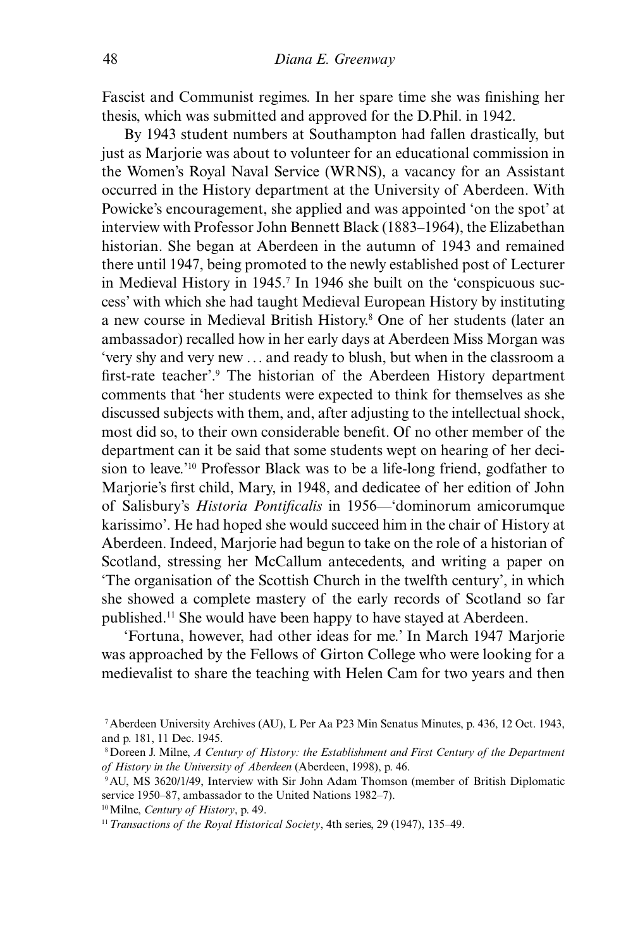Fascist and Communist regimes. In her spare time she was finishing her thesis, which was submitted and approved for the D.Phil. in 1942.

By 1943 student numbers at Southampton had fallen drastically, but just as Marjorie was about to volunteer for an educational commission in the Women's Royal Naval Service (WRNS), a vacancy for an Assistant occurred in the History department at the University of Aberdeen. With Powicke's encouragement, she applied and was appointed 'on the spot' at interview with Professor John Bennett Black (1883–1964), the Elizabethan historian. She began at Aberdeen in the autumn of 1943 and remained there until 1947, being promoted to the newly established post of Lecturer in Medieval History in 1945.<sup>7</sup> In 1946 she built on the 'conspicuous success' with which she had taught Medieval European History by instituting a new course in Medieval British History.8 One of her students (later an ambassador) recalled how in her early days at Aberdeen Miss Morgan was 'very shy and very new ... and ready to blush, but when in the classroom a first-rate teacher'.9 The historian of the Aberdeen History department comments that 'her students were expected to think for themselves as she discussed subjects with them, and, after adjusting to the intellectual shock, most did so, to their own considerable benefit. Of no other member of the department can it be said that some students wept on hearing of her decision to leave.'10 Professor Black was to be a life-long friend, godfather to Marjorie's first child, Mary, in 1948, and dedicatee of her edition of John of Salisbury's *Historia Pontificalis* in 1956—'dominorum amicorumque karissimo'. He had hoped she would succeed him in the chair of History at Aberdeen. Indeed, Marjorie had begun to take on the role of a historian of Scotland, stressing her McCallum antecedents, and writing a paper on 'The organisation of the Scottish Church in the twelfth century', in which she showed a complete mastery of the early records of Scotland so far published.11 She would have been happy to have stayed at Aberdeen.

'Fortuna, however, had other ideas for me.' In March 1947 Marjorie was approached by the Fellows of Girton College who were looking for a medievalist to share the teaching with Helen Cam for two years and then

<sup>7</sup>Aberdeen University Archives (AU), L Per Aa P23 Min Senatus Minutes, p. 436, 12 Oct. 1943, and p. 181, 11 Dec. 1945.

<sup>8</sup>Doreen J. Milne, *A Century of History: the Establishment and First Century of the Department of History in the University of Aberdeen* (Aberdeen, 1998), p. 46.

<sup>9</sup>AU, MS 3620/1/49, Interview with Sir John Adam Thomson (member of British Diplomatic service 1950–87, ambassador to the United Nations 1982–7).

<sup>10</sup>Milne, *Century of History*, p. 49.

<sup>11</sup>*Transactions of the Royal Historical Society*, 4th series, 29 (1947), 135–49.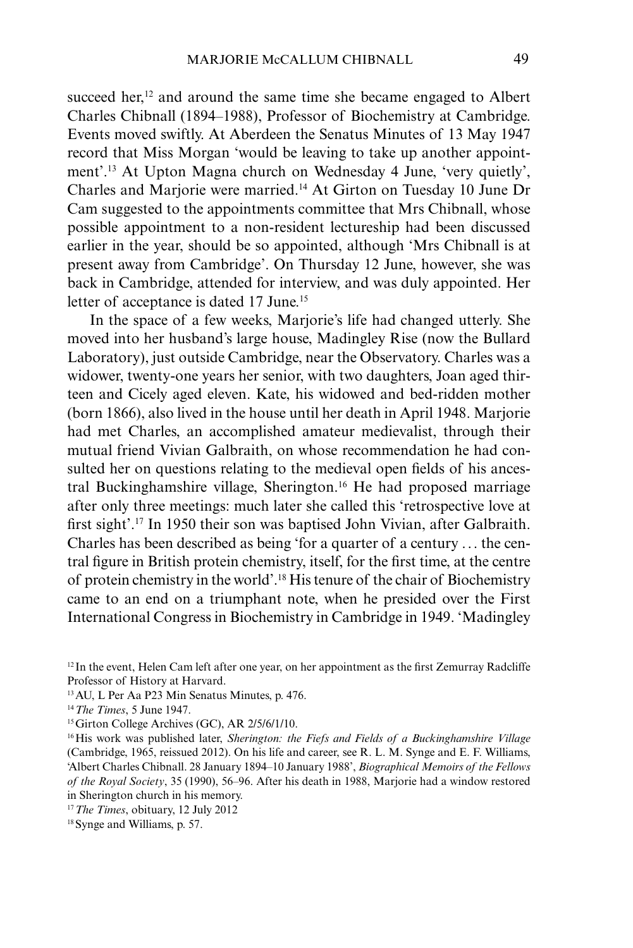succeed her, $12$  and around the same time she became engaged to Albert Charles Chibnall (1894–1988), Professor of Biochemistry at Cambridge. Events moved swiftly. At Aberdeen the Senatus Minutes of 13 May 1947 record that Miss Morgan 'would be leaving to take up another appointment'.13 At Upton Magna church on Wednesday 4 June, 'very quietly', Charles and Marjorie were married.14 At Girton on Tuesday 10 June Dr Cam suggested to the appointments committee that Mrs Chibnall, whose possible appointment to a non-resident lectureship had been discussed earlier in the year, should be so appointed, although 'Mrs Chibnall is at present away from Cambridge'. On Thursday 12 June, however, she was back in Cambridge, attended for interview, and was duly appointed. Her letter of acceptance is dated 17 June.<sup>15</sup>

In the space of a few weeks, Marjorie's life had changed utterly. She moved into her husband's large house, Madingley Rise (now the Bullard Laboratory), just outside Cambridge, near the Observatory. Charles was a widower, twenty-one years her senior, with two daughters, Joan aged thirteen and Cicely aged eleven. Kate, his widowed and bed-ridden mother (born 1866), also lived in the house until her death in April 1948. Marjorie had met Charles, an accomplished amateur medievalist, through their mutual friend Vivian Galbraith, on whose recommendation he had consulted her on questions relating to the medieval open fields of his ancestral Buckinghamshire village, Sherington.16 He had proposed marriage after only three meetings: much later she called this 'retrospective love at first sight'.<sup>17</sup> In 1950 their son was baptised John Vivian, after Galbraith. Charles has been described as being 'for a quarter of a century ... the central figure in British protein chemistry, itself, for the first time, at the centre of protein chemistry in the world'.18 His tenure of the chair of Biochemistry came to an end on a triumphant note, when he presided over the First International Congress in Biochemistry in Cambridge in 1949. 'Madingley

 $12$  In the event, Helen Cam left after one year, on her appointment as the first Zemurray Radcliffe Professor of History at Harvard.

<sup>13</sup>AU, L Per Aa P23 Min Senatus Minutes, p. 476.

<sup>14</sup>*The Times*, 5 June 1947.

<sup>&</sup>lt;sup>15</sup> Girton College Archives (GC), AR 2/5/6/1/10.

<sup>16</sup>His work was published later, *Sherington: the Fiefs and Fields of a Buckinghamshire Village* (Cambridge, 1965, reissued 2012). On his life and career, see R. L. M. Synge and E. F. Williams, 'Albert Charles Chibnall. 28 January 1894–10 January 1988', *Biographical Memoirs of the Fellows of the Royal Society*, 35 (1990), 56–96. After his death in 1988, Marjorie had a window restored in Sherington church in his memory.

<sup>17</sup>*The Times*, obituary, 12 July 2012

<sup>18</sup>Synge and Williams, p. 57.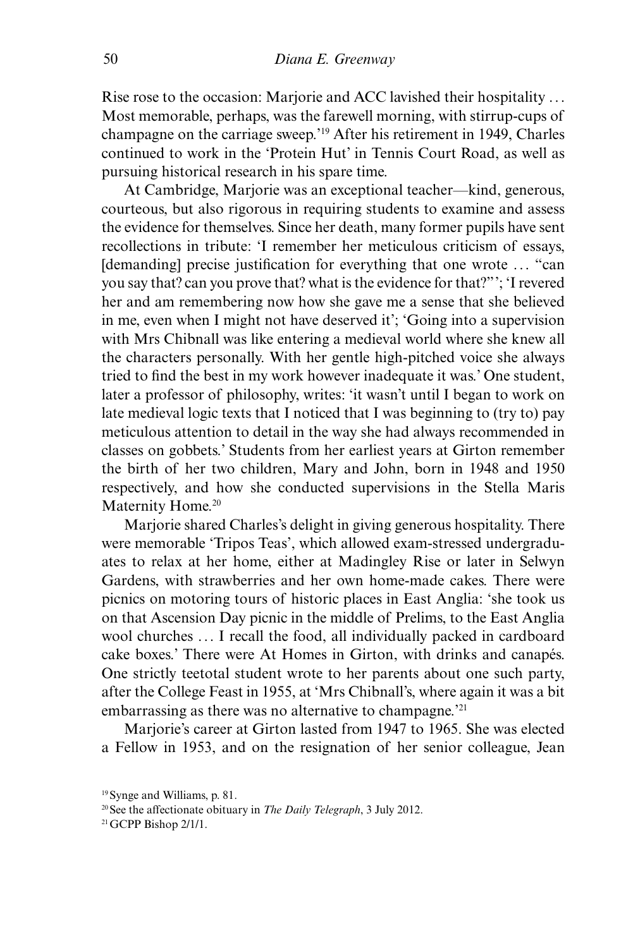Rise rose to the occasion: Marjorie and ACC lavished their hospitality ... Most memorable, perhaps, was the farewell morning, with stirrup-cups of champagne on the carriage sweep.'19 After his retirement in 1949, Charles continued to work in the 'Protein Hut' in Tennis Court Road, as well as pursuing historical research in his spare time.

At Cambridge, Marjorie was an exceptional teacher—kind, generous, courteous, but also rigorous in requiring students to examine and assess the evidence for themselves. Since her death, many former pupils have sent recollections in tribute: 'I remember her meticulous criticism of essays, [demanding] precise justification for everything that one wrote ... "can you say that? can you prove that? what is the evidence for that?"'; 'I revered her and am remembering now how she gave me a sense that she believed in me, even when I might not have deserved it'; 'Going into a supervision with Mrs Chibnall was like entering a medieval world where she knew all the characters personally. With her gentle high-pitched voice she always tried to find the best in my work however inadequate it was.' One student, later a professor of philosophy, writes: 'it wasn't until I began to work on late medieval logic texts that I noticed that I was beginning to (try to) pay meticulous attention to detail in the way she had always recommended in classes on gobbets.' Students from her earliest years at Girton remember the birth of her two children, Mary and John, born in 1948 and 1950 respectively, and how she conducted supervisions in the Stella Maris Maternity Home.<sup>20</sup>

Marjorie shared Charles's delight in giving generous hospitality. There were memorable 'Tripos Teas', which allowed exam-stressed undergraduates to relax at her home, either at Madingley Rise or later in Selwyn Gardens, with strawberries and her own home-made cakes. There were picnics on motoring tours of historic places in East Anglia: 'she took us on that Ascension Day picnic in the middle of Prelims, to the East Anglia wool churches ... I recall the food, all individually packed in cardboard cake boxes.' There were At Homes in Girton, with drinks and canapés. One strictly teetotal student wrote to her parents about one such party, after the College Feast in 1955, at 'Mrs Chibnall's, where again it was a bit embarrassing as there was no alternative to champagne.<sup>'21</sup>

Marjorie's career at Girton lasted from 1947 to 1965. She was elected a Fellow in 1953, and on the resignation of her senior colleague, Jean

<sup>19</sup>Synge and Williams, p. 81.

<sup>20</sup>See the affectionate obituary in *The Daily Telegraph*, 3 July 2012.

<sup>21</sup>GCPP Bishop 2/1/1.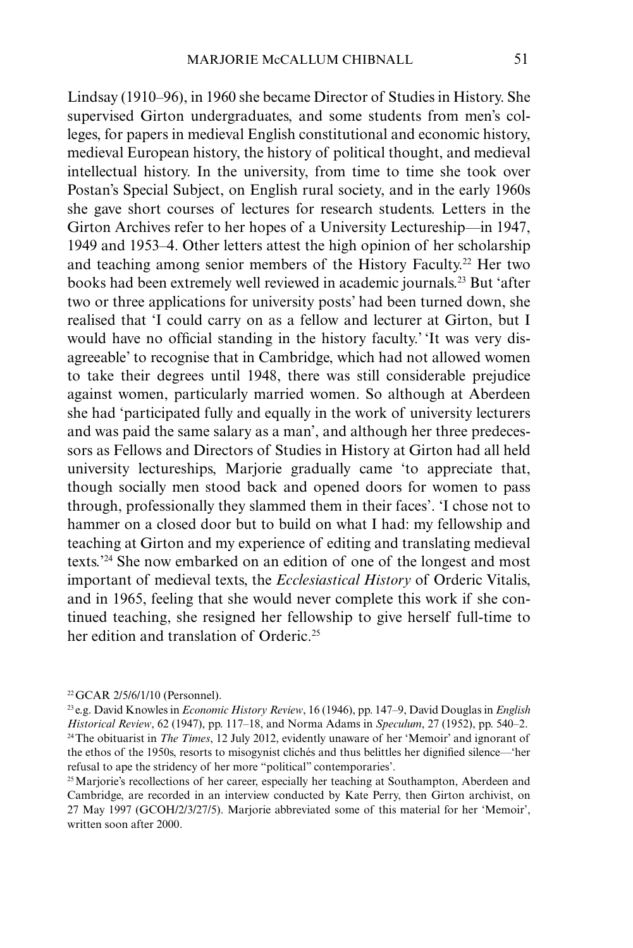Lindsay (1910–96), in 1960 she became Director of Studies in History. She supervised Girton undergraduates, and some students from men's colleges, for papers in medieval English constitutional and economic history, medieval European history, the history of political thought, and medieval intellectual history. In the university, from time to time she took over Postan's Special Subject, on English rural society, and in the early 1960s she gave short courses of lectures for research students. Letters in the Girton Archives refer to her hopes of a University Lectureship—in 1947, 1949 and 1953–4. Other letters attest the high opinion of her scholarship and teaching among senior members of the History Faculty.<sup>22</sup> Her two books had been extremely well reviewed in academic journals.23 But 'after two or three applications for university posts' had been turned down, she realised that 'I could carry on as a fellow and lecturer at Girton, but I would have no official standing in the history faculty.' 'It was very disagreeable' to recognise that in Cambridge, which had not allowed women to take their degrees until 1948, there was still considerable prejudice against women, particularly married women. So although at Aberdeen she had 'participated fully and equally in the work of university lecturers and was paid the same salary as a man', and although her three predecessors as Fellows and Directors of Studies in History at Girton had all held university lectureships, Marjorie gradually came 'to appreciate that, though socially men stood back and opened doors for women to pass through, professionally they slammed them in their faces'. 'I chose not to hammer on a closed door but to build on what I had: my fellowship and teaching at Girton and my experience of editing and translating medieval texts.'24 She now embarked on an edition of one of the longest and most important of medieval texts, the *Ecclesiastical History* of Orderic Vitalis, and in 1965, feeling that she would never complete this work if she continued teaching, she resigned her fellowship to give herself full-time to her edition and translation of Orderic.<sup>25</sup>

<sup>22</sup>GCAR 2/5/6/1/10 (Personnel).

<sup>23</sup> e.g. David Knowles in *Economic History Review*, 16 (1946), pp. 147–9, David Douglas in *English Historical Review*, 62 (1947), pp. 117–18, and Norma Adams in *Speculum*, 27 (1952), pp. 540–2. 24The obituarist in *The Times*, 12 July 2012, evidently unaware of her 'Memoir' and ignorant of the ethos of the 1950s, resorts to misogynist clichés and thus belittles her dignified silence—'her refusal to ape the stridency of her more "political" contemporaries'.

<sup>&</sup>lt;sup>25</sup> Marjorie's recollections of her career, especially her teaching at Southampton, Aberdeen and Cambridge, are recorded in an interview conducted by Kate Perry, then Girton archivist, on 27 May 1997 (GCOH/2/3/27/5). Marjorie abbreviated some of this material for her 'Memoir', written soon after 2000.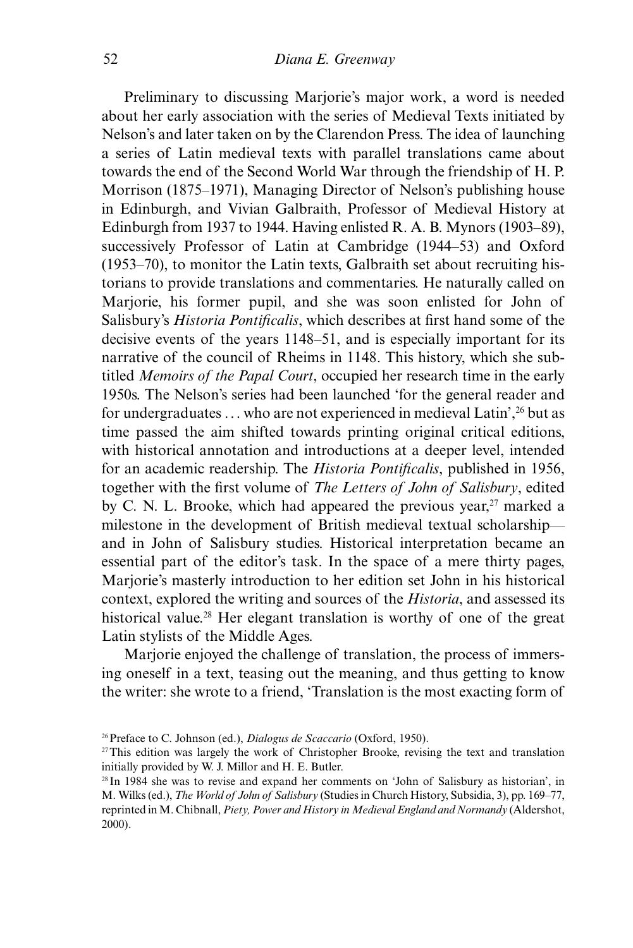Preliminary to discussing Marjorie's major work, a word is needed about her early association with the series of Medieval Texts initiated by Nelson's and later taken on by the Clarendon Press. The idea of launching a series of Latin medieval texts with parallel translations came about towards the end of the Second World War through the friendship of H. P. Morrison (1875–1971), Managing Director of Nelson's publishing house in Edinburgh, and Vivian Galbraith, Professor of Medieval History at Edinburgh from 1937 to 1944. Having enlisted R. A. B. Mynors (1903–89), successively Professor of Latin at Cambridge (1944–53) and Oxford (1953–70), to monitor the Latin texts, Galbraith set about recruiting historians to provide translations and commentaries. He naturally called on Marjorie, his former pupil, and she was soon enlisted for John of Salisbury's *Historia Pontificalis*, which describes at first hand some of the decisive events of the years 1148–51, and is especially important for its narrative of the council of Rheims in 1148. This history, which she subtitled *Memoirs of the Papal Court*, occupied her research time in the early 1950s. The Nelson's series had been launched 'for the general reader and for undergraduates ... who are not experienced in medieval Latin',26 but as time passed the aim shifted towards printing original critical editions, with historical annotation and introductions at a deeper level, intended for an academic readership. The *Historia Pontificalis*, published in 1956, together with the first volume of *The Letters of John of Salisbury*, edited by C. N. L. Brooke, which had appeared the previous year,  $27$  marked a milestone in the development of British medieval textual scholarship and in John of Salisbury studies. Historical interpretation became an essential part of the editor's task. In the space of a mere thirty pages, Marjorie's masterly introduction to her edition set John in his historical context, explored the writing and sources of the *Historia*, and assessed its historical value.<sup>28</sup> Her elegant translation is worthy of one of the great Latin stylists of the Middle Ages.

Marjorie enjoyed the challenge of translation, the process of immersing oneself in a text, teasing out the meaning, and thus getting to know the writer: she wrote to a friend, 'Translation is the most exacting form of

<sup>26</sup>Preface to C. Johnson (ed.), *Dialogus de Scaccario* (Oxford, 1950).

<sup>27</sup>This edition was largely the work of Christopher Brooke, revising the text and translation initially provided by W. J. Millor and H. E. Butler.

<sup>28</sup> In 1984 she was to revise and expand her comments on 'John of Salisbury as historian', in M. Wilks (ed.), *The World of John of Salisbury* (Studies in Church History, Subsidia, 3), pp. 169–77, reprinted in M. Chibnall, *Piety, Power and History in Medieval England and Normandy* (Aldershot, 2000).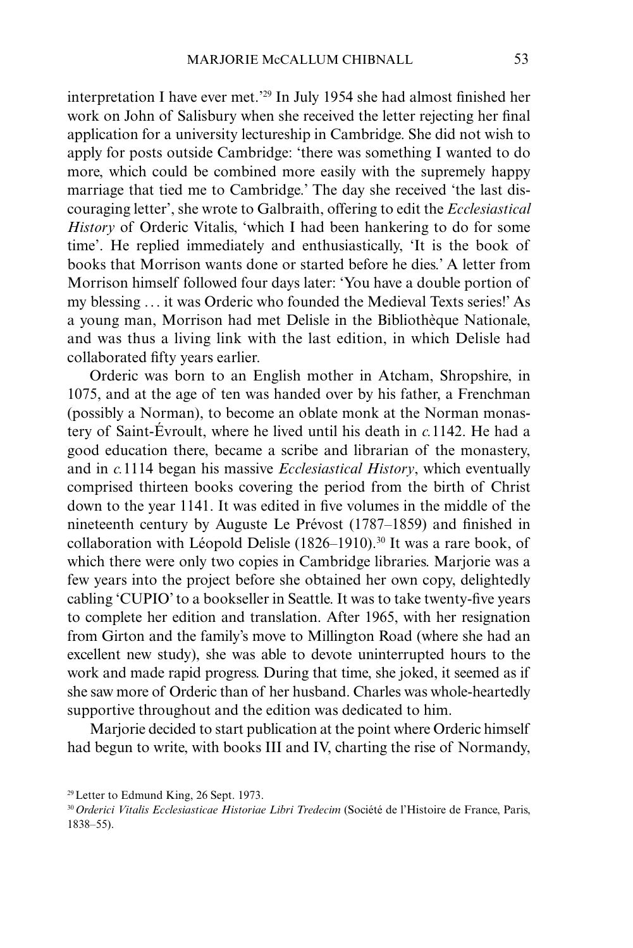interpretation I have ever met.<sup>229</sup> In July 1954 she had almost finished her work on John of Salisbury when she received the letter rejecting her final application for a university lectureship in Cambridge. She did not wish to apply for posts outside Cambridge: 'there was something I wanted to do more, which could be combined more easily with the supremely happy marriage that tied me to Cambridge.' The day she received 'the last discouraging letter', she wrote to Galbraith, offering to edit the *Ecclesiastical History* of Orderic Vitalis, 'which I had been hankering to do for some time'. He replied immediately and enthusiastically, 'It is the book of books that Morrison wants done or started before he dies.' A letter from Morrison himself followed four days later: 'You have a double portion of my blessing ... it was Orderic who founded the Medieval Texts series!' As a young man, Morrison had met Delisle in the Bibliothèque Nationale, and was thus a living link with the last edition, in which Delisle had collaborated fifty years earlier.

Orderic was born to an English mother in Atcham, Shropshire, in 1075, and at the age of ten was handed over by his father, a Frenchman (possibly a Norman), to become an oblate monk at the Norman monastery of Saint-Évroult, where he lived until his death in *c.*1142. He had a good education there, became a scribe and librarian of the monastery, and in *c.*1114 began his massive *Ecclesiastical History*, which eventually comprised thirteen books covering the period from the birth of Christ down to the year 1141. It was edited in five volumes in the middle of the nineteenth century by Auguste Le Prévost (1787–1859) and finished in collaboration with Léopold Delisle (1826–1910).<sup>30</sup> It was a rare book, of which there were only two copies in Cambridge libraries. Marjorie was a few years into the project before she obtained her own copy, delightedly cabling 'CUPIO' to a bookseller in Seattle. It was to take twenty-five years to complete her edition and translation. After 1965, with her resignation from Girton and the family's move to Millington Road (where she had an excellent new study), she was able to devote uninterrupted hours to the work and made rapid progress. During that time, she joked, it seemed as if she saw more of Orderic than of her husband. Charles was whole-heartedly supportive throughout and the edition was dedicated to him.

Marjorie decided to start publication at the point where Orderic himself had begun to write, with books III and IV, charting the rise of Normandy,

<sup>29</sup>Letter to Edmund King, 26 Sept. 1973.

<sup>30</sup>*Orderici Vitalis Ecclesiasticae Historiae Libri Tredecim* (Société de l'Histoire de France, Paris, 1838–55).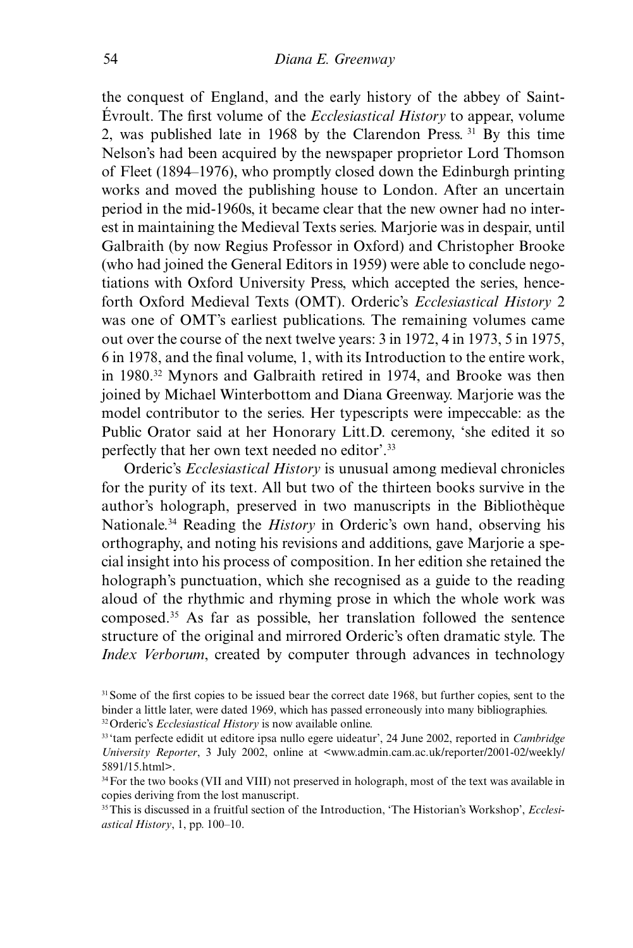the conquest of England, and the early history of the abbey of Saint-Évroult. The first volume of the *Ecclesiastical History* to appear, volume 2, was published late in 1968 by the Clarendon Press. 31 By this time Nelson's had been acquired by the newspaper proprietor Lord Thomson of Fleet (1894–1976), who promptly closed down the Edinburgh printing works and moved the publishing house to London. After an uncertain period in the mid-1960s, it became clear that the new owner had no interest in maintaining the Medieval Texts series. Marjorie was in despair, until Galbraith (by now Regius Professor in Oxford) and Christopher Brooke (who had joined the General Editors in 1959) were able to conclude negotiations with Oxford University Press, which accepted the series, henceforth Oxford Medieval Texts (OMT). Orderic's *Ecclesiastical History* 2 was one of OMT's earliest publications. The remaining volumes came out over the course of the next twelve years: 3 in 1972, 4 in 1973, 5 in 1975, 6 in 1978, and the final volume, 1, with its Introduction to the entire work, in 1980.32 Mynors and Galbraith retired in 1974, and Brooke was then joined by Michael Winterbottom and Diana Greenway. Marjorie was the model contributor to the series. Her typescripts were impeccable: as the Public Orator said at her Honorary Litt.D. ceremony, 'she edited it so perfectly that her own text needed no editor'.33

Orderic's *Ecclesiastical History* is unusual among medieval chronicles for the purity of its text. All but two of the thirteen books survive in the author's holograph, preserved in two manuscripts in the Bibliothèque Nationale.34 Reading the *History* in Orderic's own hand, observing his orthography, and noting his revisions and additions, gave Marjorie a special insight into his process of composition. In her edition she retained the holograph's punctuation, which she recognised as a guide to the reading aloud of the rhythmic and rhyming prose in which the whole work was composed.35 As far as possible, her translation followed the sentence structure of the original and mirrored Orderic's often dramatic style. The *Index Verborum*, created by computer through advances in technology

<sup>&</sup>lt;sup>31</sup> Some of the first copies to be issued bear the correct date 1968, but further copies, sent to the binder a little later, were dated 1969, which has passed erroneously into many bibliographies. 32Orderic's *Ecclesiastical History* is now available online.

<sup>33</sup> 'tam perfecte edidit ut editore ipsa nullo egere uideatur', 24 June 2002, reported in *Cambridge University Reporter*, 3 July 2002, online at <www.admin.cam.ac.uk/reporter/2001-02/weekly/

<sup>5891/15.</sup>html>.

<sup>34</sup>For the two books (VII and VIII) not preserved in holograph, most of the text was available in copies deriving from the lost manuscript.

<sup>&</sup>lt;sup>35</sup>This is discussed in a fruitful section of the Introduction, 'The Historian's Workshop', *Ecclesiastical History*, 1, pp. 100–10.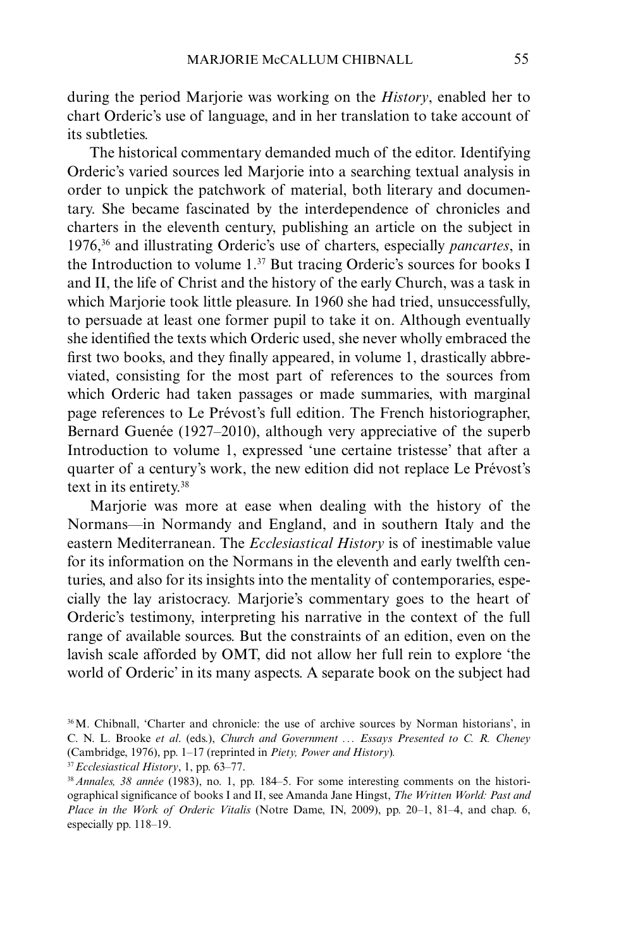during the period Marjorie was working on the *History*, enabled her to chart Orderic's use of language, and in her translation to take account of its subtleties.

The historical commentary demanded much of the editor. Identifying Orderic's varied sources led Marjorie into a searching textual analysis in order to unpick the patchwork of material, both literary and documentary. She became fascinated by the interdependence of chronicles and charters in the eleventh century, publishing an article on the subject in 1976,36 and illustrating Orderic's use of charters, especially *pancartes*, in the Introduction to volume  $1<sup>37</sup>$  But tracing Orderic's sources for books I and II, the life of Christ and the history of the early Church, was a task in which Marjorie took little pleasure. In 1960 she had tried, unsuccessfully, to persuade at least one former pupil to take it on. Although eventually she identified the texts which Orderic used, she never wholly embraced the first two books, and they finally appeared, in volume 1, drastically abbreviated, consisting for the most part of references to the sources from which Orderic had taken passages or made summaries, with marginal page references to Le Prévost's full edition. The French historiographer, Bernard Guenée (1927–2010), although very appreciative of the superb Introduction to volume 1, expressed 'une certaine tristesse' that after a quarter of a century's work, the new edition did not replace Le Prévost's text in its entirety.38

Marjorie was more at ease when dealing with the history of the Normans—in Normandy and England, and in southern Italy and the eastern Mediterranean. The *Ecclesiastical History* is of inestimable value for its information on the Normans in the eleventh and early twelfth centuries, and also for its insights into the mentality of contemporaries, especially the lay aristocracy. Marjorie's commentary goes to the heart of Orderic's testimony, interpreting his narrative in the context of the full range of available sources. But the constraints of an edition, even on the lavish scale afforded by OMT, did not allow her full rein to explore 'the world of Orderic' in its many aspects. A separate book on the subject had

<sup>36</sup>M. Chibnall, 'Charter and chronicle: the use of archive sources by Norman historians', in C. N. L. Brooke *et al*. (eds.), *Church and Government ... Essays Presented to C. R. Cheney* (Cambridge, 1976), pp. 1–17 (reprinted in *Piety, Power and History*)*.*

<sup>37</sup>*Ecclesiastical History*, 1, pp. 63–77.

<sup>38</sup>*Annales, 38 année* (1983), no. 1, pp. 184–5. For some interesting comments on the historiographical significance of books I and II, see Amanda Jane Hingst, *The Written World: Past and Place in the Work of Orderic Vitalis* (Notre Dame, IN, 2009), pp. 20–1, 81–4, and chap. 6, especially pp. 118–19.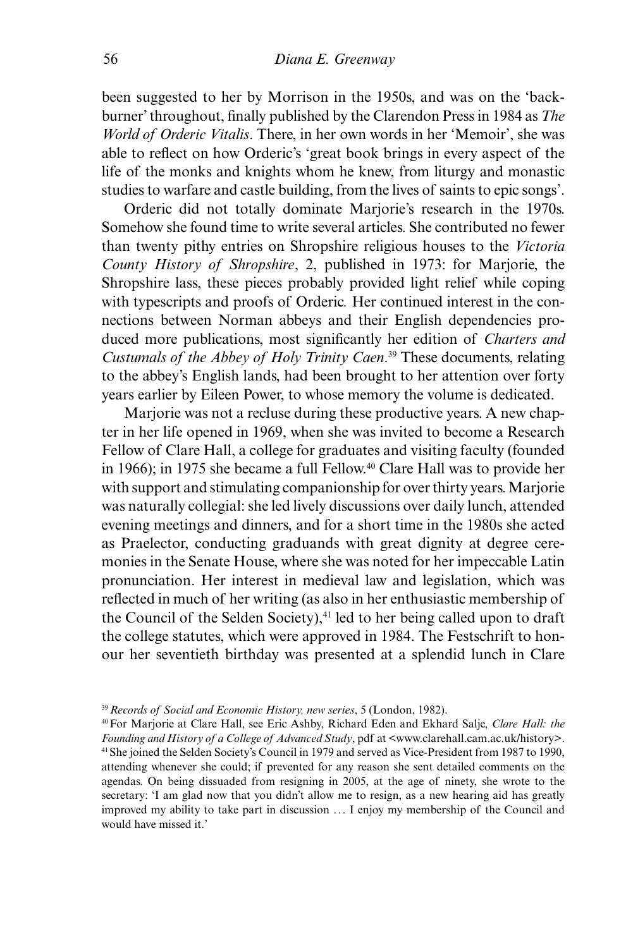been suggested to her by Morrison in the 1950s, and was on the 'backburner' throughout, finally published by the Clarendon Press in 1984 as *The World of Orderic Vitalis*. There, in her own words in her 'Memoir', she was able to reflect on how Orderic's 'great book brings in every aspect of the life of the monks and knights whom he knew, from liturgy and monastic studies to warfare and castle building, from the lives of saints to epic songs'.

Orderic did not totally dominate Marjorie's research in the 1970s. Somehow she found time to write several articles. She contributed no fewer than twenty pithy entries on Shropshire religious houses to the *Victoria County History of Shropshire*, 2, published in 1973: for Marjorie, the Shropshire lass, these pieces probably provided light relief while coping with typescripts and proofs of Orderic. Her continued interest in the connections between Norman abbeys and their English dependencies produced more publications, most significantly her edition of *Charters and Custumals of the Abbey of Holy Trinity Caen*. 39 These documents, relating to the abbey's English lands, had been brought to her attention over forty years earlier by Eileen Power, to whose memory the volume is dedicated.

Marjorie was not a recluse during these productive years. A new chapter in her life opened in 1969, when she was invited to become a Research Fellow of Clare Hall, a college for graduates and visiting faculty (founded in 1966); in 1975 she became a full Fellow.40 Clare Hall was to provide her with support and stimulating companionship for over thirty years. Marjorie was naturally collegial: she led lively discussions over daily lunch, attended evening meetings and dinners, and for a short time in the 1980s she acted as Praelector, conducting graduands with great dignity at degree ceremonies in the Senate House, where she was noted for her impeccable Latin pronunciation. Her interest in medieval law and legislation, which was reflected in much of her writing (as also in her enthusiastic membership of the Council of the Selden Society), $41$  led to her being called upon to draft the college statutes, which were approved in 1984. The Festschrift to honour her seventieth birthday was presented at a splendid lunch in Clare

<sup>39</sup>*Records of Social and Economic History, new series*, 5 (London, 1982).

<sup>40</sup>For Marjorie at Clare Hall, see Eric Ashby, Richard Eden and Ekhard Salje, *Clare Hall: the Founding and History of a College of Advanced Study*, pdf at <www.clarehall.cam.ac.uk/history>. 41She joined the Selden Society's Council in 1979 and served as Vice-President from 1987 to 1990, attending whenever she could; if prevented for any reason she sent detailed comments on the agendas. On being dissuaded from resigning in 2005, at the age of ninety, she wrote to the secretary: 'I am glad now that you didn't allow me to resign, as a new hearing aid has greatly improved my ability to take part in discussion ... I enjoy my membership of the Council and would have missed it.'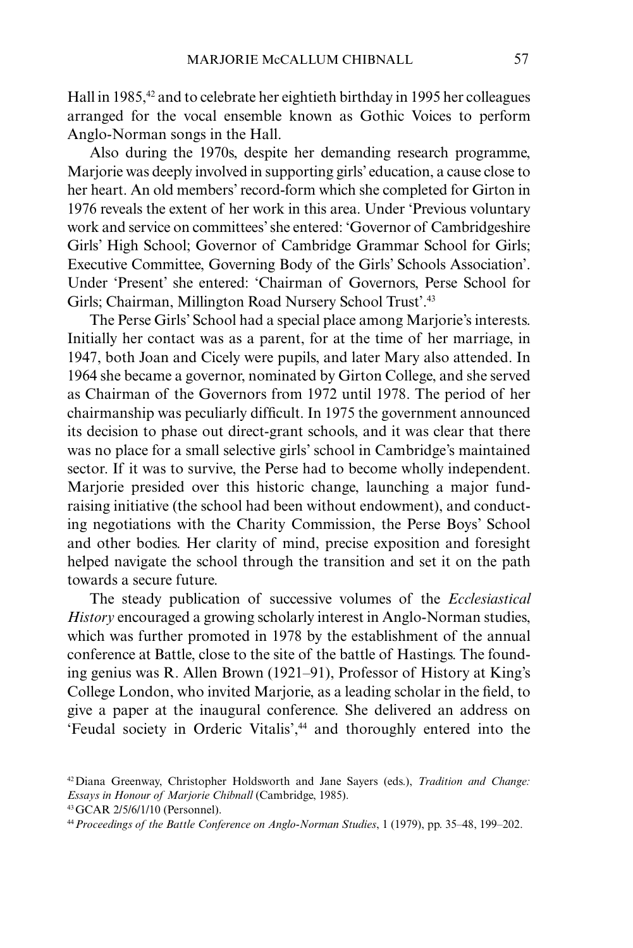Hall in 1985,<sup>42</sup> and to celebrate her eightieth birthday in 1995 her colleagues arranged for the vocal ensemble known as Gothic Voices to perform Anglo-Norman songs in the Hall.

Also during the 1970s, despite her demanding research programme, Marjorie was deeply involved in supporting girls' education, a cause close to her heart. An old members' record-form which she completed for Girton in 1976 reveals the extent of her work in this area. Under 'Previous voluntary work and service on committees' she entered: 'Governor of Cambridgeshire Girls' High School; Governor of Cambridge Grammar School for Girls; Executive Committee, Governing Body of the Girls' Schools Association'. Under 'Present' she entered: 'Chairman of Governors, Perse School for Girls; Chairman, Millington Road Nursery School Trust'.43

The Perse Girls' School had a special place among Marjorie's interests. Initially her contact was as a parent, for at the time of her marriage, in 1947, both Joan and Cicely were pupils, and later Mary also attended. In 1964 she became a governor, nominated by Girton College, and she served as Chairman of the Governors from 1972 until 1978. The period of her chairmanship was peculiarly difficult. In 1975 the government announced its decision to phase out direct-grant schools, and it was clear that there was no place for a small selective girls' school in Cambridge's maintained sector. If it was to survive, the Perse had to become wholly independent. Marjorie presided over this historic change, launching a major fundraising initiative (the school had been without endowment), and conducting negotiations with the Charity Commission, the Perse Boys' School and other bodies. Her clarity of mind, precise exposition and foresight helped navigate the school through the transition and set it on the path towards a secure future.

The steady publication of successive volumes of the *Ecclesiastical History* encouraged a growing scholarly interest in Anglo-Norman studies, which was further promoted in 1978 by the establishment of the annual conference at Battle, close to the site of the battle of Hastings. The founding genius was R. Allen Brown (1921–91), Professor of History at King's College London, who invited Marjorie, as a leading scholar in the field, to give a paper at the inaugural conference. She delivered an address on 'Feudal society in Orderic Vitalis',44 and thoroughly entered into the

<sup>42</sup>Diana Greenway, Christopher Holdsworth and Jane Sayers (eds.), *Tradition and Change: Essays in Honour of Marjorie Chibnall* (Cambridge, 1985).

<sup>43</sup>GCAR 2/5/6/1/10 (Personnel).

<sup>44</sup>*Proceedings of the Battle Conference on Anglo-Norman Studies*, 1 (1979), pp. 35–48, 199–202.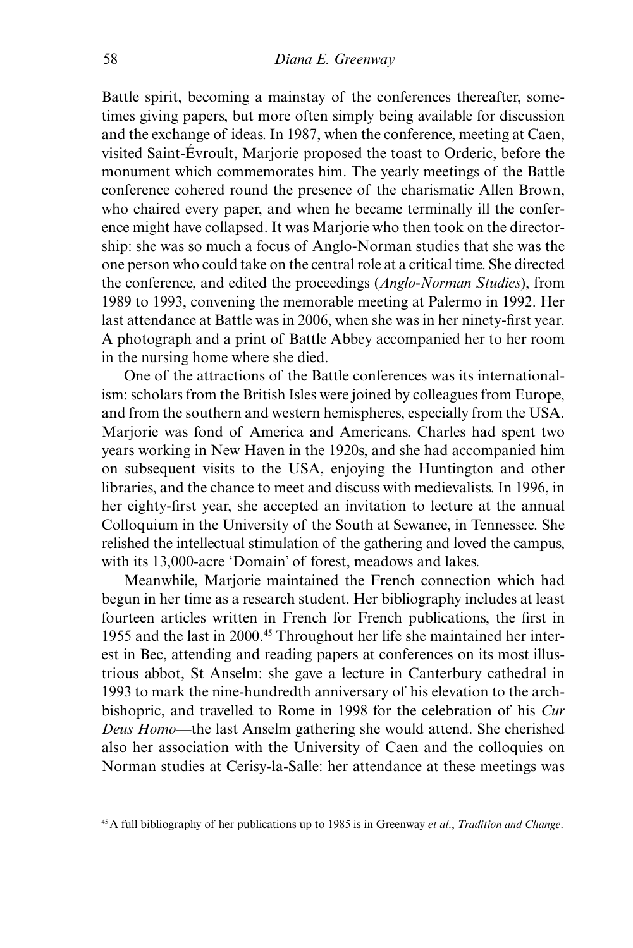Battle spirit, becoming a mainstay of the conferences thereafter, sometimes giving papers, but more often simply being available for discussion and the exchange of ideas. In 1987, when the conference, meeting at Caen, visited Saint-Évroult, Marjorie proposed the toast to Orderic, before the monument which commemorates him. The yearly meetings of the Battle conference cohered round the presence of the charismatic Allen Brown, who chaired every paper, and when he became terminally ill the conference might have collapsed. It was Marjorie who then took on the directorship: she was so much a focus of Anglo-Norman studies that she was the one person who could take on the central role at a critical time. She directed the conference, and edited the proceedings (*Anglo-Norman Studies*), from 1989 to 1993, convening the memorable meeting at Palermo in 1992. Her last attendance at Battle was in 2006, when she was in her ninety-first year. A photograph and a print of Battle Abbey accompanied her to her room in the nursing home where she died.

One of the attractions of the Battle conferences was its internationalism: scholars from the British Isles were joined by colleagues from Europe, and from the southern and western hemispheres, especially from the USA. Marjorie was fond of America and Americans. Charles had spent two years working in New Haven in the 1920s, and she had accompanied him on subsequent visits to the USA, enjoying the Huntington and other libraries, and the chance to meet and discuss with medievalists. In 1996, in her eighty-first year, she accepted an invitation to lecture at the annual Colloquium in the University of the South at Sewanee, in Tennessee. She relished the intellectual stimulation of the gathering and loved the campus, with its 13,000-acre 'Domain' of forest, meadows and lakes.

Meanwhile, Marjorie maintained the French connection which had begun in her time as a research student. Her bibliography includes at least fourteen articles written in French for French publications, the first in 1955 and the last in 2000.45 Throughout her life she maintained her interest in Bec, attending and reading papers at conferences on its most illustrious abbot, St Anselm: she gave a lecture in Canterbury cathedral in 1993 to mark the nine-hundredth anniversary of his elevation to the archbishopric, and travelled to Rome in 1998 for the celebration of his *Cur Deus Homo*—the last Anselm gathering she would attend. She cherished also her association with the University of Caen and the colloquies on Norman studies at Cerisy-la-Salle: her attendance at these meetings was

<sup>45</sup>A full bibliography of her publications up to 1985 is in Greenway *et al*., *Tradition and Change*.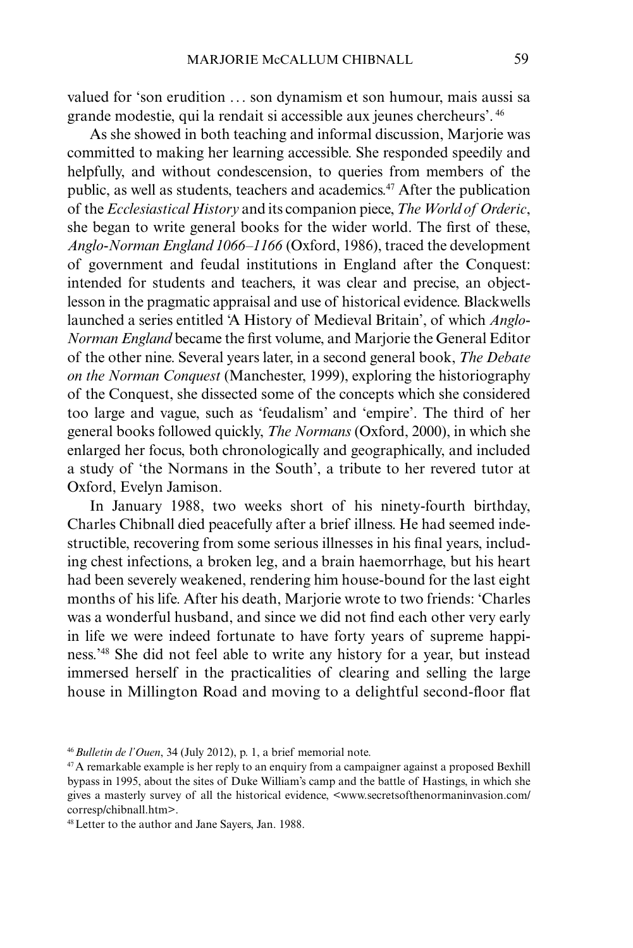valued for 'son erudition ... son dynamism et son humour, mais aussi sa grande modestie, qui la rendait si accessible aux jeunes chercheurs'. <sup>46</sup>

As she showed in both teaching and informal discussion, Marjorie was committed to making her learning accessible. She responded speedily and helpfully, and without condescension, to queries from members of the public, as well as students, teachers and academics.47 After the publication of the *Ecclesiastical History* and its companion piece, *The World of Orderic*, she began to write general books for the wider world. The first of these, *Anglo-Norman England 1066–1166* (Oxford, 1986), traced the development of government and feudal institutions in England after the Conquest: intended for students and teachers, it was clear and precise, an objectlesson in the pragmatic appraisal and use of historical evidence. Blackwells launched a series entitled 'A History of Medieval Britain', of which *Anglo-Norman England* became the first volume, and Marjorie the General Editor of the other nine. Several years later, in a second general book, *The Debate on the Norman Conquest* (Manchester, 1999), exploring the historiography of the Conquest, she dissected some of the concepts which she considered too large and vague, such as 'feudalism' and 'empire'. The third of her general books followed quickly, *The Normans* (Oxford, 2000), in which she enlarged her focus, both chronologically and geographically, and included a study of 'the Normans in the South', a tribute to her revered tutor at Oxford, Evelyn Jamison.

In January 1988, two weeks short of his ninety-fourth birthday, Charles Chibnall died peacefully after a brief illness. He had seemed indestructible, recovering from some serious illnesses in his final years, including chest infections, a broken leg, and a brain haemorrhage, but his heart had been severely weakened, rendering him house-bound for the last eight months of his life. After his death, Marjorie wrote to two friends: 'Charles was a wonderful husband, and since we did not find each other very early in life we were indeed fortunate to have forty years of supreme happiness.'48 She did not feel able to write any history for a year, but instead immersed herself in the practicalities of clearing and selling the large house in Millington Road and moving to a delightful second-floor flat

<sup>46</sup>*Bulletin de l'Ouen*, 34 (July 2012), p. 1, a brief memorial note.

<sup>&</sup>lt;sup>47</sup>A remarkable example is her reply to an enquiry from a campaigner against a proposed Bexhill bypass in 1995, about the sites of Duke William's camp and the battle of Hastings, in which she gives a masterly survey of all the historical evidence, <www.secretsofthenormaninvasion.com/ corresp/chibnall.htm>.

<sup>48</sup>Letter to the author and Jane Sayers, Jan. 1988.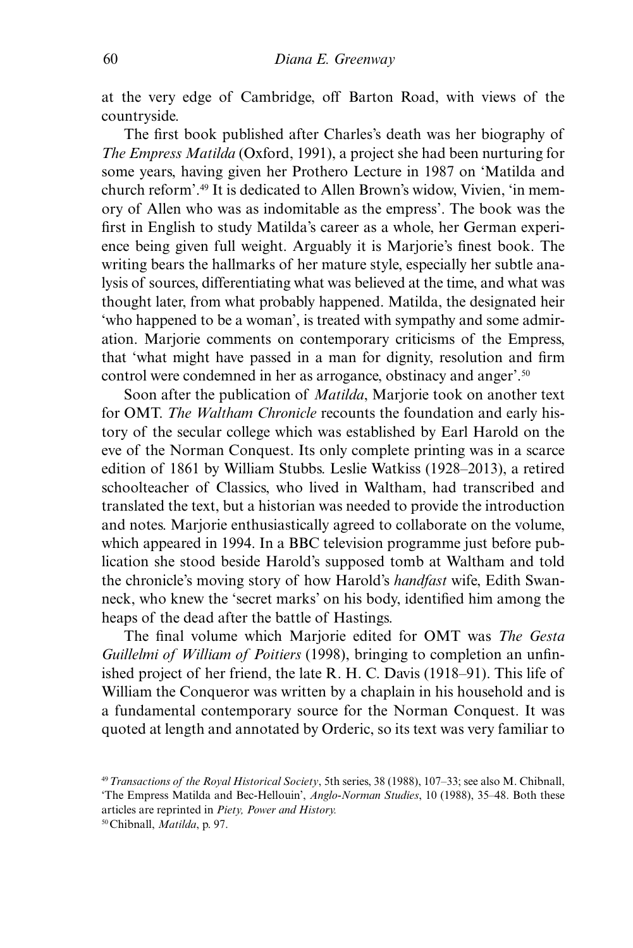at the very edge of Cambridge, off Barton Road, with views of the countryside.

The first book published after Charles's death was her biography of *The Empress Matilda* (Oxford, 1991), a project she had been nurturing for some years, having given her Prothero Lecture in 1987 on 'Matilda and church reform'.49 It is dedicated to Allen Brown's widow, Vivien, 'in memory of Allen who was as indomitable as the empress'. The book was the first in English to study Matilda's career as a whole, her German experience being given full weight. Arguably it is Marjorie's finest book. The writing bears the hallmarks of her mature style, especially her subtle analysis of sources, differentiating what was believed at the time, and what was thought later, from what probably happened. Matilda, the designated heir 'who happened to be a woman', is treated with sympathy and some admiration. Marjorie comments on contemporary criticisms of the Empress, that 'what might have passed in a man for dignity, resolution and firm control were condemned in her as arrogance, obstinacy and anger'.<sup>50</sup>

Soon after the publication of *Matilda*, Marjorie took on another text for OMT. *The Waltham Chronicle* recounts the foundation and early history of the secular college which was established by Earl Harold on the eve of the Norman Conquest. Its only complete printing was in a scarce edition of 1861 by William Stubbs. Leslie Watkiss (1928–2013), a retired schoolteacher of Classics, who lived in Waltham, had transcribed and translated the text, but a historian was needed to provide the introduction and notes. Marjorie enthusiastically agreed to collaborate on the volume, which appeared in 1994. In a BBC television programme just before publication she stood beside Harold's supposed tomb at Waltham and told the chronicle's moving story of how Harold's *handfast* wife, Edith Swanneck, who knew the 'secret marks' on his body, identified him among the heaps of the dead after the battle of Hastings.

The final volume which Marjorie edited for OMT was *The Gesta Guillelmi of William of Poitiers* (1998), bringing to completion an unfinished project of her friend, the late R. H. C. Davis (1918–91). This life of William the Conqueror was written by a chaplain in his household and is a fundamental contemporary source for the Norman Conquest. It was quoted at length and annotated by Orderic, so its text was very familiar to

<sup>49</sup>*Transactions of the Royal Historical Society*, 5th series, 38 (1988), 107–33; see also M. Chibnall, 'The Empress Matilda and Bec-Hellouin', *Anglo-Norman Studies*, 10 (1988), 35–48. Both these

articles are reprinted in *Piety, Power and History.*

<sup>50</sup>Chibnall, *Matilda*, p. 97.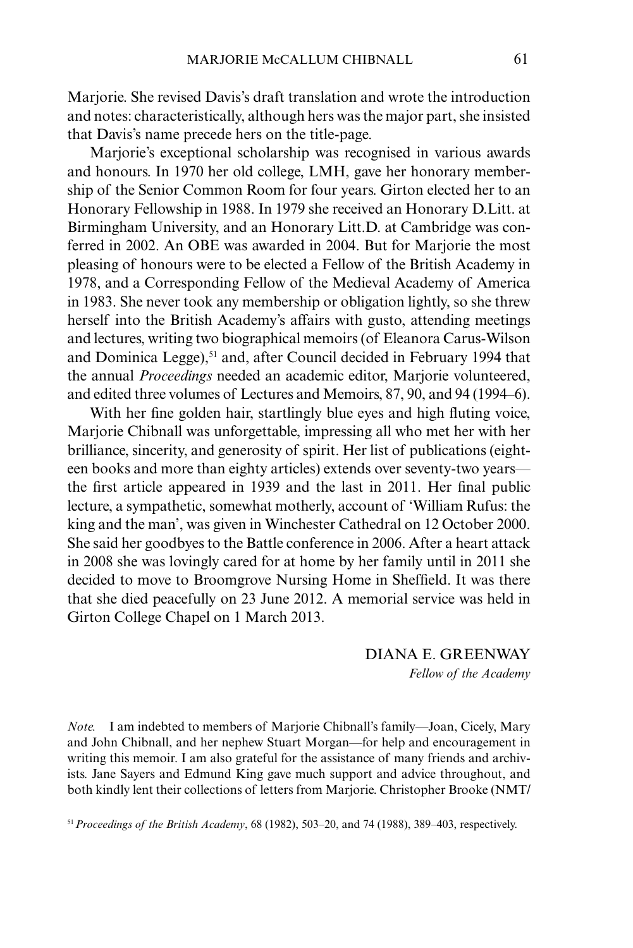Marjorie. She revised Davis's draft translation and wrote the introduction and notes: characteristically, although hers was the major part, she insisted that Davis's name precede hers on the title-page.

Mariorie's exceptional scholarship was recognised in various awards and honours. In 1970 her old college, LMH, gave her honorary membership of the Senior Common Room for four years. Girton elected her to an Honorary Fellowship in 1988. In 1979 she received an Honorary D.Litt. at Birmingham University, and an Honorary Litt.D. at Cambridge was conferred in 2002. An OBE was awarded in 2004. But for Marjorie the most pleasing of honours were to be elected a Fellow of the British Academy in 1978, and a Corresponding Fellow of the Medieval Academy of America in 1983. She never took any membership or obligation lightly, so she threw herself into the British Academy's affairs with gusto, attending meetings and lectures, writing two biographical memoirs (of Eleanora Carus-Wilson and Dominica Legge),<sup>51</sup> and, after Council decided in February 1994 that the annual *Proceedings* needed an academic editor, Marjorie volunteered, and edited three volumes of Lectures and Memoirs, 87, 90, and 94 (1994–6).

With her fine golden hair, startlingly blue eyes and high fluting voice, Marjorie Chibnall was unforgettable, impressing all who met her with her brilliance, sincerity, and generosity of spirit. Her list of publications (eighteen books and more than eighty articles) extends over seventy-two years the first article appeared in 1939 and the last in 2011. Her final public lecture, a sympathetic, somewhat motherly, account of 'William Rufus: the king and the man', was given in Winchester Cathedral on 12 October 2000. She said her goodbyes to the Battle conference in 2006. After a heart attack in 2008 she was lovingly cared for at home by her family until in 2011 she decided to move to Broomgrove Nursing Home in Sheffield. It was there that she died peacefully on 23 June 2012. A memorial service was held in Girton College Chapel on 1 March 2013.

> DIANA E. GREENWAY *Fellow of the Academy*

*Note.* I am indebted to members of Marjorie Chibnall's family—Joan, Cicely, Mary and John Chibnall, and her nephew Stuart Morgan—for help and encouragement in writing this memoir. I am also grateful for the assistance of many friends and archivists. Jane Sayers and Edmund King gave much support and advice throughout, and both kindly lent their collections of letters from Marjorie. Christopher Brooke (NMT/

51*Proceedings of the British Academy*, 68 (1982), 503–20, and 74 (1988), 389–403, respectively.